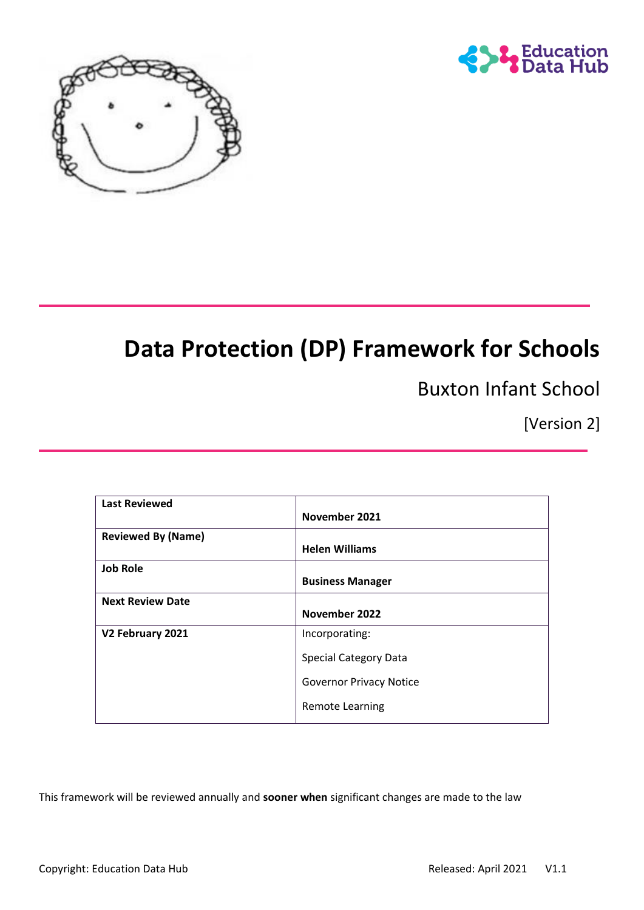



# **Data Protection (DP) Framework for Schools**

Buxton Infant School

[Version 2]

| <b>Last Reviewed</b>      |                                |
|---------------------------|--------------------------------|
|                           | November 2021                  |
| <b>Reviewed By (Name)</b> |                                |
|                           | <b>Helen Williams</b>          |
| <b>Job Role</b>           |                                |
|                           | <b>Business Manager</b>        |
| <b>Next Review Date</b>   |                                |
|                           | November 2022                  |
| V2 February 2021          | Incorporating:                 |
|                           | <b>Special Category Data</b>   |
|                           | <b>Governor Privacy Notice</b> |
|                           | <b>Remote Learning</b>         |

This framework will be reviewed annually and **sooner when** significant changes are made to the law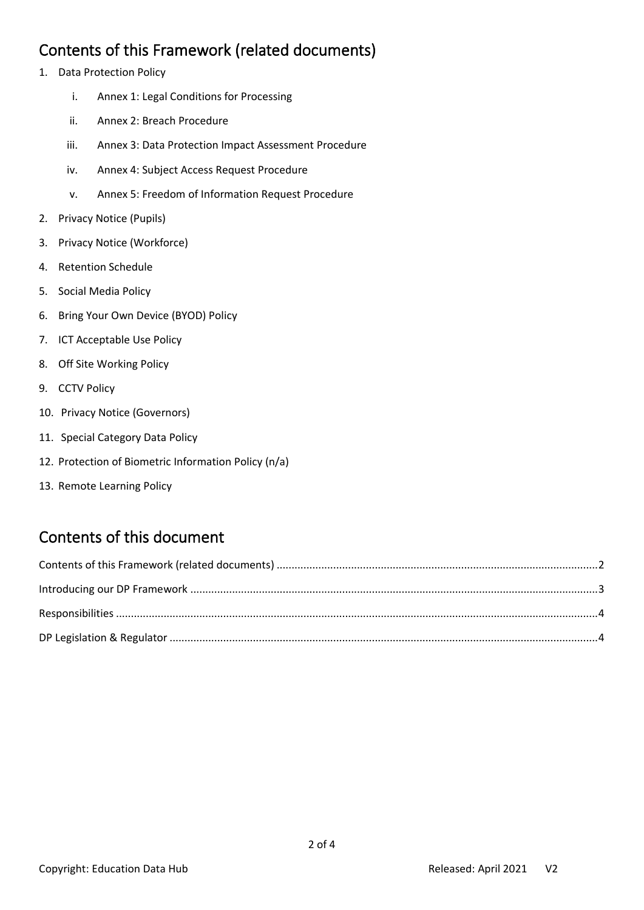#### <span id="page-1-0"></span>Contents of this Framework (related documents)

- 1. Data Protection Policy
	- i. Annex 1: Legal Conditions for Processing
	- ii. Annex 2: Breach Procedure
	- iii. Annex 3: Data Protection Impact Assessment Procedure
	- iv. Annex 4: Subject Access Request Procedure
	- v. Annex 5: Freedom of Information Request Procedure
- 2. Privacy Notice (Pupils)
- 3. Privacy Notice (Workforce)
- 4. Retention Schedule
- 5. Social Media Policy
- 6. Bring Your Own Device (BYOD) Policy
- 7. ICT Acceptable Use Policy
- 8. Off Site Working Policy
- 9. CCTV Policy
- 10. Privacy Notice (Governors)
- 11. Special Category Data Policy
- 12. Protection of Biometric Information Policy (n/a)
- 13. Remote Learning Policy

## Contents of this document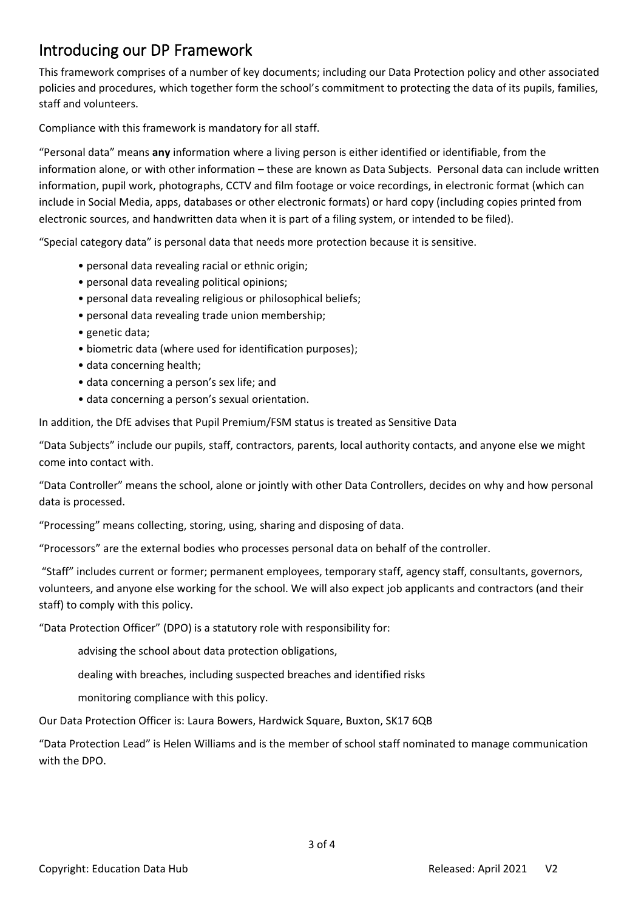### <span id="page-2-0"></span>Introducing our DP Framework

This framework comprises of a number of key documents; including our Data Protection policy and other associated policies and procedures, which together form the school's commitment to protecting the data of its pupils, families, staff and volunteers.

Compliance with this framework is mandatory for all staff.

"Personal data" means **any** information where a living person is either identified or identifiable, from the information alone, or with other information – these are known as Data Subjects. Personal data can include written information, pupil work, photographs, CCTV and film footage or voice recordings, in electronic format (which can include in Social Media, apps, databases or other electronic formats) or hard copy (including copies printed from electronic sources, and handwritten data when it is part of a filing system, or intended to be filed).

"Special category data" is personal data that needs more protection because it is sensitive.

- personal data revealing racial or ethnic origin;
- personal data revealing political opinions;
- personal data revealing religious or philosophical beliefs;
- personal data revealing trade union membership;
- genetic data;
- biometric data (where used for identification purposes);
- data concerning health;
- data concerning a person's sex life; and
- data concerning a person's sexual orientation.

In addition, the DfE advises that Pupil Premium/FSM status is treated as Sensitive Data

"Data Subjects" include our pupils, staff, contractors, parents, local authority contacts, and anyone else we might come into contact with.

"Data Controller" means the school, alone or jointly with other Data Controllers, decides on why and how personal data is processed.

"Processing" means collecting, storing, using, sharing and disposing of data.

"Processors" are the external bodies who processes personal data on behalf of the controller.

"Staff" includes current or former; permanent employees, temporary staff, agency staff, consultants, governors, volunteers, and anyone else working for the school. We will also expect job applicants and contractors (and their staff) to comply with this policy.

"Data Protection Officer" (DPO) is a statutory role with responsibility for:

advising the school about data protection obligations,

dealing with breaches, including suspected breaches and identified risks

monitoring compliance with this policy.

Our Data Protection Officer is: Laura Bowers, Hardwick Square, Buxton, SK17 6QB

"Data Protection Lead" is Helen Williams and is the member of school staff nominated to manage communication with the DPO.